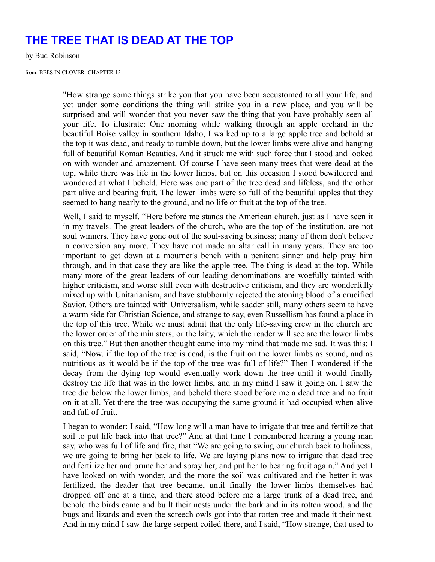# **THE TREE THAT IS DEAD AT THE TOP**

by Bud Robinson

from: BEES IN CLOVER -CHAPTER 13

"How strange some things strike you that you have been accustomed to all your life, and yet under some conditions the thing will strike you in a new place, and you will be surprised and will wonder that you never saw the thing that you have probably seen all your life. To illustrate: One morning while walking through an apple orchard in the beautiful Boise valley in southern Idaho, I walked up to a large apple tree and behold at the top it was dead, and ready to tumble down, but the lower limbs were alive and hanging full of beautiful Roman Beauties. And it struck me with such force that I stood and looked on with wonder and amazement. Of course I have seen many trees that were dead at the top, while there was life in the lower limbs, but on this occasion I stood bewildered and wondered at what I beheld. Here was one part of the tree dead and lifeless, and the other part alive and bearing fruit. The lower limbs were so full of the beautiful apples that they seemed to hang nearly to the ground, and no life or fruit at the top of the tree.

Well, I said to myself, "Here before me stands the American church, just as I have seen it in my travels. The great leaders of the church, who are the top of the institution, are not soul winners. They have gone out of the soul-saving business; many of them don't believe in conversion any more. They have not made an altar call in many years. They are too important to get down at a mourner's bench with a penitent sinner and help pray him through, and in that case they are like the apple tree. The thing is dead at the top. While many more of the great leaders of our leading denominations are woefully tainted with higher criticism, and worse still even with destructive criticism, and they are wonderfully mixed up with Unitarianism, and have stubbornly rejected the atoning blood of a crucified Savior. Others are tainted with Universalism, while sadder still, many others seem to have a warm side for Christian Science, and strange to say, even Russellism has found a place in the top of this tree. While we must admit that the only life-saving crew in the church are the lower order of the ministers, or the laity, which the reader will see are the lower limbs on this tree." But then another thought came into my mind that made me sad. It was this: I said, "Now, if the top of the tree is dead, is the fruit on the lower limbs as sound, and as nutritious as it would be if the top of the tree was full of life?" Then I wondered if the decay from the dying top would eventually work down the tree until it would finally destroy the life that was in the lower limbs, and in my mind I saw it going on. I saw the tree die below the lower limbs, and behold there stood before me a dead tree and no fruit on it at all. Yet there the tree was occupying the same ground it had occupied when alive and full of fruit.

I began to wonder: I said, "How long will a man have to irrigate that tree and fertilize that soil to put life back into that tree?" And at that time I remembered hearing a young man say, who was full of life and fire, that "We are going to swing our church back to holiness, we are going to bring her back to life. We are laying plans now to irrigate that dead tree and fertilize her and prune her and spray her, and put her to bearing fruit again." And yet I have looked on with wonder, and the more the soil was cultivated and the better it was fertilized, the deader that tree became, until finally the lower limbs themselves had dropped off one at a time, and there stood before me a large trunk of a dead tree, and behold the birds came and built their nests under the bark and in its rotten wood, and the bugs and lizards and even the screech owls got into that rotten tree and made it their nest. And in my mind I saw the large serpent coiled there, and I said, "How strange, that used to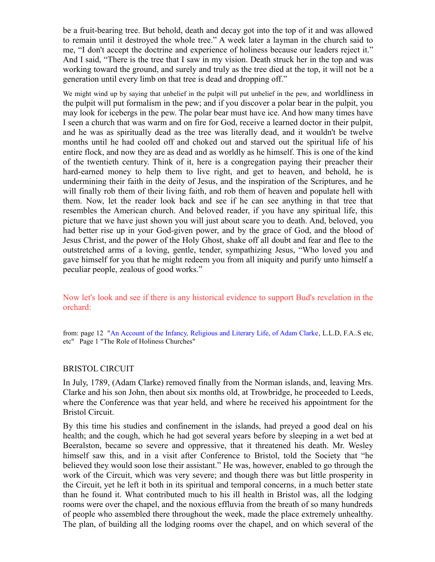be a fruit-bearing tree. But behold, death and decay got into the top of it and was allowed to remain until it destroyed the whole tree." A week later a layman in the church said to me, "I don't accept the doctrine and experience of holiness because our leaders reject it." And I said, "There is the tree that I saw in my vision. Death struck her in the top and was working toward the ground, and surely and truly as the tree died at the top, it will not be a generation until every limb on that tree is dead and dropping off."

We might wind up by saying that unbelief in the pulpit will put unbelief in the pew, and worldliness in the pulpit will put formalism in the pew; and if you discover a polar bear in the pulpit, you may look for icebergs in the pew. The polar bear must have ice. And how many times have I seen a church that was warm and on fire for God, receive a learned doctor in their pulpit, and he was as spiritually dead as the tree was literally dead, and it wouldn't be twelve months until he had cooled off and choked out and starved out the spiritual life of his entire flock, and now they are as dead and as worldly as he himself. This is one of the kind of the twentieth century. Think of it, here is a congregation paying their preacher their hard-earned money to help them to live right, and get to heaven, and behold, he is undermining their faith in the deity of Jesus, and the inspiration of the Scriptures, and he will finally rob them of their living faith, and rob them of heaven and populate hell with them. Now, let the reader look back and see if he can see anything in that tree that resembles the American church. And beloved reader, if you have any spiritual life, this picture that we have just shown you will just about scare you to death. And, beloved, you had better rise up in your God-given power, and by the grace of God, and the blood of Jesus Christ, and the power of the Holy Ghost, shake off all doubt and fear and flee to the outstretched arms of a loving, gentle, tender, sympathizing Jesus, "Who loved you and gave himself for you that he might redeem you from all iniquity and purify unto himself a peculiar people, zealous of good works."

## Now let's look and see if there is any historical evidence to support Bud's revelation in the orchard:

from: page 12 "An Account of the Infancy, Religious and Literary Life, of Adam Clarke, L.L.D, F.A..S etc, etc" Page 1 "The Role of Holiness Churches"

## BRISTOL CIRCUIT

In July, 1789, (Adam Clarke) removed finally from the Norman islands, and, leaving Mrs. Clarke and his son John, then about six months old, at Trowbridge, he proceeded to Leeds, where the Conference was that year held, and where he received his appointment for the Bristol Circuit.

By this time his studies and confinement in the islands, had preyed a good deal on his health; and the cough, which he had got several years before by sleeping in a wet bed at Beeralston, became so severe and oppressive, that it threatened his death. Mr. Wesley himself saw this, and in a visit after Conference to Bristol, told the Society that "he believed they would soon lose their assistant." He was, however, enabled to go through the work of the Circuit, which was very severe; and though there was but little prosperity in the Circuit, yet he left it both in its spiritual and temporal concerns, in a much better state than he found it. What contributed much to his ill health in Bristol was, all the lodging rooms were over the chapel, and the noxious effluvia from the breath of so many hundreds of people who assembled there throughout the week, made the place extremely unhealthy. The plan, of building all the lodging rooms over the chapel, and on which several of the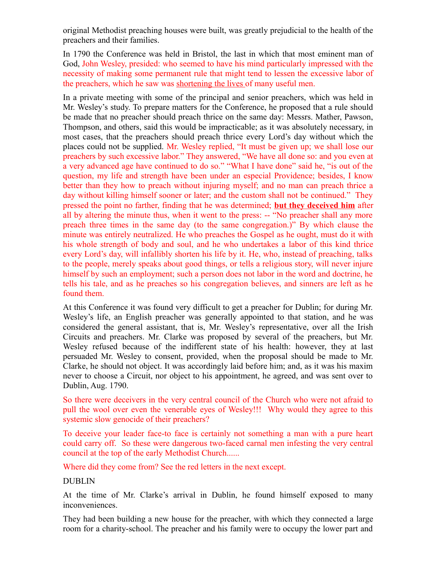original Methodist preaching houses were built, was greatly prejudicial to the health of the preachers and their families.

In 1790 the Conference was held in Bristol, the last in which that most eminent man of God, John Wesley, presided: who seemed to have his mind particularly impressed with the necessity of making some permanent rule that might tend to lessen the excessive labor of the preachers, which he saw was shortening the lives of many useful men.

In a private meeting with some of the principal and senior preachers, which was held in Mr. Wesley's study. To prepare matters for the Conference, he proposed that a rule should be made that no preacher should preach thrice on the same day: Messrs. Mather, Pawson, Thompson, and others, said this would be impracticable; as it was absolutely necessary, in most cases, that the preachers should preach thrice every Lord's day without which the places could not be supplied. Mr. Wesley replied, "It must be given up; we shall lose our preachers by such excessive labor." They answered, "We have all done so: and you even at a very advanced age have continued to do so." "What I have done" said he, "is out of the question, my life and strength have been under an especial Providence; besides, I know better than they how to preach without injuring myself; and no man can preach thrice a day without killing himself sooner or later; and the custom shall not be continued." They pressed the point no farther, finding that he was determined; **but they deceived him** after all by altering the minute thus, when it went to the press: -- "No preacher shall any more preach three times in the same day (to the same congregation.)" By which clause the minute was entirely neutralized. He who preaches the Gospel as he ought, must do it with his whole strength of body and soul, and he who undertakes a labor of this kind thrice every Lord's day, will infallibly shorten his life by it. He, who, instead of preaching, talks to the people, merely speaks about good things, or tells a religious story, will never injure himself by such an employment; such a person does not labor in the word and doctrine, he tells his tale, and as he preaches so his congregation believes, and sinners are left as he found them.

At this Conference it was found very difficult to get a preacher for Dublin; for during Mr. Wesley's life, an English preacher was generally appointed to that station, and he was considered the general assistant, that is, Mr. Wesley's representative, over all the Irish Circuits and preachers. Mr. Clarke was proposed by several of the preachers, but Mr. Wesley refused because of the indifferent state of his health: however, they at last persuaded Mr. Wesley to consent, provided, when the proposal should be made to Mr. Clarke, he should not object. It was accordingly laid before him; and, as it was his maxim never to choose a Circuit, nor object to his appointment, he agreed, and was sent over to Dublin, Aug. 1790.

So there were deceivers in the very central council of the Church who were not afraid to pull the wool over even the venerable eyes of Wesley!!! Why would they agree to this systemic slow genocide of their preachers?

To deceive your leader face-to face is certainly not something a man with a pure heart could carry off. So these were dangerous two-faced carnal men infesting the very central council at the top of the early Methodist Church......

Where did they come from? See the red letters in the next except.

### DUBLIN

At the time of Mr. Clarke's arrival in Dublin, he found himself exposed to many inconveniences.

They had been building a new house for the preacher, with which they connected a large room for a charity-school. The preacher and his family were to occupy the lower part and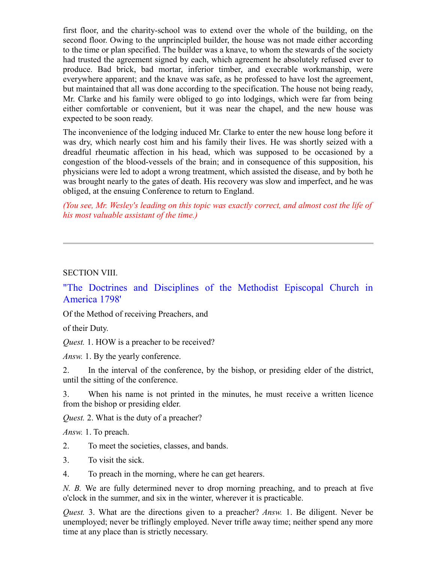first floor, and the charity-school was to extend over the whole of the building, on the second floor. Owing to the unprincipled builder, the house was not made either according to the time or plan specified. The builder was a knave, to whom the stewards of the society had trusted the agreement signed by each, which agreement he absolutely refused ever to produce. Bad brick, bad mortar, inferior timber, and execrable workmanship, were everywhere apparent; and the knave was safe, as he professed to have lost the agreement, but maintained that all was done according to the specification. The house not being ready, Mr. Clarke and his family were obliged to go into lodgings, which were far from being either comfortable or convenient, but it was near the chapel, and the new house was expected to be soon ready.

The inconvenience of the lodging induced Mr. Clarke to enter the new house long before it was dry, which nearly cost him and his family their lives. He was shortly seized with a dreadful rheumatic affection in his head, which was supposed to be occasioned by a congestion of the blood-vessels of the brain; and in consequence of this supposition, his physicians were led to adopt a wrong treatment, which assisted the disease, and by both he was brought nearly to the gates of death. His recovery was slow and imperfect, and he was obliged, at the ensuing Conference to return to England.

*(You see, Mr. Wesley's leading on this topic was exactly correct, and almost cost the life of his most valuable assistant of the time.)*

### SECTION VIII.

# "The Doctrines and Disciplines of the Methodist Episcopal Church in America 1798'

Of the Method of receiving Preachers, and

of their Duty.

*Quest.* 1. HOW is a preacher to be received?

*Answ.* 1. By the yearly conference.

2. In the interval of the conference, by the bishop, or presiding elder of the district, until the sitting of the conference.

3. When his name is not printed in the minutes, he must receive a written licence from the bishop or presiding elder.

*Quest.* 2. What is the duty of a preacher?

*Answ.* 1. To preach.

- 2. To meet the societies, classes, and bands.
- 3. To visit the sick.
- 4. To preach in the morning, where he can get hearers.

*N. B.* We are fully determined never to drop morning preaching, and to preach at five o'clock in the summer, and six in the winter, wherever it is practicable.

*Quest.* 3. What are the directions given to a preacher? *Answ.* 1. Be diligent. Never be unemployed; never be triflingly employed. Never trifle away time; neither spend any more time at any place than is strictly necessary.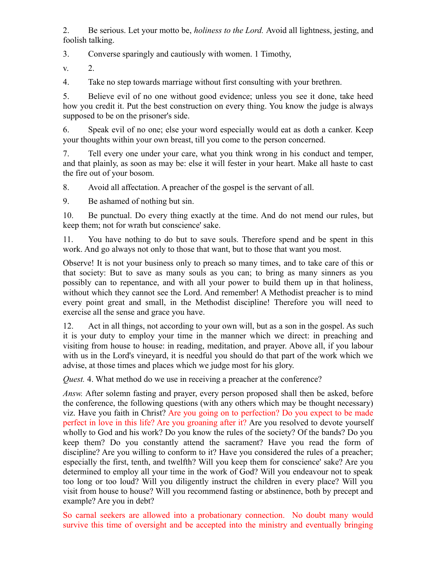2. Be serious. Let your motto be, *holiness to the Lord.* Avoid all lightness, jesting, and foolish talking.

3. Converse sparingly and cautiously with women. 1 Timothy,

v. 2.

4. Take no step towards marriage without first consulting with your brethren.

5. Believe evil of no one without good evidence; unless you see it done, take heed how you credit it. Put the best construction on every thing. You know the judge is always supposed to be on the prisoner's side.

6. Speak evil of no one; else your word especially would eat as doth a canker. Keep your thoughts within your own breast, till you come to the person concerned.

7. Tell every one under your care, what you think wrong in his conduct and temper, and that plainly, as soon as may be: else it will fester in your heart. Make all haste to cast the fire out of your bosom.

8. Avoid all affectation. A preacher of the gospel is the servant of all.

9. Be ashamed of nothing but sin.

10. Be punctual. Do every thing exactly at the time. And do not mend our rules, but keep them; not for wrath but conscience' sake.

11. You have nothing to do but to save souls. Therefore spend and be spent in this work. And go always not only to those that want, but to those that want you most.

Observe! It is not your business only to preach so many times, and to take care of this or that society: But to save as many souls as you can; to bring as many sinners as you possibly can to repentance, and with all your power to build them up in that holiness, without which they cannot see the Lord. And remember! A Methodist preacher is to mind every point great and small, in the Methodist discipline! Therefore you will need to exercise all the sense and grace you have.

12. Act in all things, not according to your own will, but as a son in the gospel. As such it is your duty to employ your time in the manner which we direct: in preaching and visiting from house to house: in reading, meditation, and prayer. Above all, if you labour with us in the Lord's vineyard, it is needful you should do that part of the work which we advise, at those times and places which we judge most for his glory.

*Quest.* 4. What method do we use in receiving a preacher at the conference?

*Answ.* After solemn fasting and prayer, every person proposed shall then be asked, before the conference, the following questions (with any others which may be thought necessary) viz. Have you faith in Christ? Are you going on to perfection? Do you expect to be made perfect in love in this life? Are you groaning after it? Are you resolved to devote yourself wholly to God and his work? Do you know the rules of the society? Of the bands? Do you keep them? Do you constantly attend the sacrament? Have you read the form of discipline? Are you willing to conform to it? Have you considered the rules of a preacher; especially the first, tenth, and twelfth? Will you keep them for conscience' sake? Are you determined to employ all your time in the work of God? Will you endeavour not to speak too long or too loud? Will you diligently instruct the children in every place? Will you visit from house to house? Will you recommend fasting or abstinence, both by precept and example? Are you in debt?

So carnal seekers are allowed into a probationary connection. No doubt many would survive this time of oversight and be accepted into the ministry and eventually bringing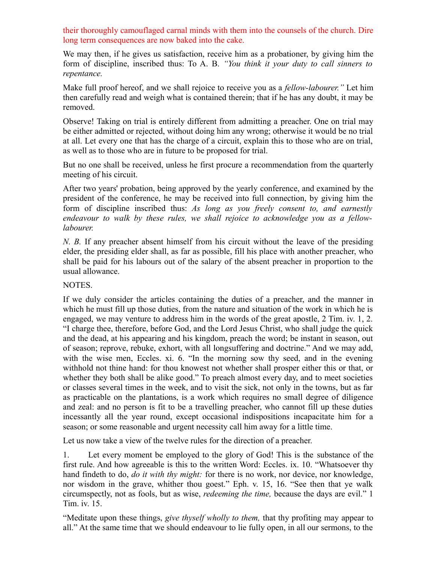their thoroughly camouflaged carnal minds with them into the counsels of the church. Dire long term consequences are now baked into the cake.

We may then, if he gives us satisfaction, receive him as a probationer, by giving him the form of discipline, inscribed thus: To A. B. *"You think it your duty to call sinners to repentance.*

Make full proof hereof, and we shall rejoice to receive you as a *fellow-labourer."* Let him then carefully read and weigh what is contained therein; that if he has any doubt, it may be removed.

Observe! Taking on trial is entirely different from admitting a preacher. One on trial may be either admitted or rejected, without doing him any wrong; otherwise it would be no trial at all. Let every one that has the charge of a circuit, explain this to those who are on trial, as well as to those who are in future to be proposed for trial.

But no one shall be received, unless he first procure a recommendation from the quarterly meeting of his circuit.

After two years' probation, being approved by the yearly conference, and examined by the president of the conference, he may be received into full connection, by giving him the form of discipline inscribed thus: *As long as you freely consent to, and earnestly endeavour to walk by these rules, we shall rejoice to acknowledge you as a fellowlabourer.*

*N. B.* If any preacher absent himself from his circuit without the leave of the presiding elder, the presiding elder shall, as far as possible, fill his place with another preacher, who shall be paid for his labours out of the salary of the absent preacher in proportion to the usual allowance.

### NOTES.

If we duly consider the articles containing the duties of a preacher, and the manner in which he must fill up those duties, from the nature and situation of the work in which he is engaged, we may venture to address him in the words of the great apostle, 2 Tim. iv. 1, 2. "I charge thee, therefore, before God, and the Lord Jesus Christ, who shall judge the quick and the dead, at his appearing and his kingdom, preach the word; be instant in season, out of season; reprove, rebuke, exhort, with all longsuffering and doctrine." And we may add, with the wise men, Eccles. xi. 6. "In the morning sow thy seed, and in the evening withhold not thine hand: for thou knowest not whether shall prosper either this or that, or whether they both shall be alike good." To preach almost every day, and to meet societies or classes several times in the week, and to visit the sick, not only in the towns, but as far as practicable on the plantations, is a work which requires no small degree of diligence and zeal: and no person is fit to be a travelling preacher, who cannot fill up these duties incessantly all the year round, except occasional indispositions incapacitate him for a season; or some reasonable and urgent necessity call him away for a little time.

Let us now take a view of the twelve rules for the direction of a preacher.

1. Let every moment be employed to the glory of God! This is the substance of the first rule. And how agreeable is this to the written Word: Eccles. ix. 10. "Whatsoever thy hand findeth to do, *do it with thy might:* for there is no work, nor device, nor knowledge, nor wisdom in the grave, whither thou goest." Eph. v. 15, 16. "See then that ye walk circumspectly, not as fools, but as wise, *redeeming the time,* because the days are evil." 1 Tim. iv. 15.

"Meditate upon these things, *give thyself wholly to them,* that thy profiting may appear to all." At the same time that we should endeavour to lie fully open, in all our sermons, to the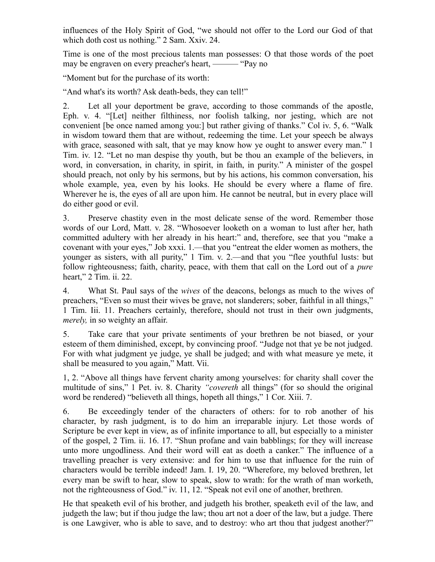influences of the Holy Spirit of God, "we should not offer to the Lord our God of that which doth cost us nothing." 2 Sam. Xxiv. 24.

Time is one of the most precious talents man possesses: O that those words of the poet may be engraven on every preacher's heart, ——— "Pay no

"Moment but for the purchase of its worth:

"And what's its worth? Ask death-beds, they can tell!"

2. Let all your deportment be grave, according to those commands of the apostle, Eph. v. 4. "[Let] neither filthiness, nor foolish talking, nor jesting, which are not convenient [be once named among you:] but rather giving of thanks." Col iv. 5, 6. "Walk in wisdom toward them that are without, redeeming the time. Let your speech be always with grace, seasoned with salt, that ye may know how ye ought to answer every man." 1 Tim. iv. 12. "Let no man despise thy youth, but be thou an example of the believers, in word, in conversation, in charity, in spirit, in faith, in purity." A minister of the gospel should preach, not only by his sermons, but by his actions, his common conversation, his whole example, yea, even by his looks. He should be every where a flame of fire. Wherever he is, the eyes of all are upon him. He cannot be neutral, but in every place will do either good or evil.

3. Preserve chastity even in the most delicate sense of the word. Remember those words of our Lord, Matt. v. 28. "Whosoever looketh on a woman to lust after her, hath committed adultery with her already in his heart:" and, therefore, see that you "make a covenant with your eyes," Job xxxi. 1.—that you "entreat the elder women as mothers, the younger as sisters, with all purity," 1 Tim. v. 2.—and that you "flee youthful lusts: but follow righteousness; faith, charity, peace, with them that call on the Lord out of a *pure* heart," 2 Tim. ii. 22.

4. What St. Paul says of the *wives* of the deacons, belongs as much to the wives of preachers, "Even so must their wives be grave, not slanderers; sober, faithful in all things," 1 Tim. Iii. 11. Preachers certainly, therefore, should not trust in their own judgments, *merely,* in so weighty an affair.

5. Take care that your private sentiments of your brethren be not biased, or your esteem of them diminished, except, by convincing proof. "Judge not that ye be not judged. For with what judgment ye judge, ye shall be judged; and with what measure ye mete, it shall be measured to you again," Matt. Vii.

1, 2. "Above all things have fervent charity among yourselves: for charity shall cover the multitude of sins," 1 Pet. iv. 8. Charity *"covereth* all things" (for so should the original word be rendered) "believeth all things, hopeth all things," 1 Cor. Xiii. 7.

6. Be exceedingly tender of the characters of others: for to rob another of his character, by rash judgment, is to do him an irreparable injury. Let those words of Scripture be ever kept in view, as of infinite importance to all, but especially to a minister of the gospel, 2 Tim. ii. 16. 17. "Shun profane and vain babblings; for they will increase unto more ungodliness. And their word will eat as doeth a canker." The influence of a travelling preacher is very extensive: and for him to use that influence for the ruin of characters would be terrible indeed! Jam. I. 19, 20. "Wherefore, my beloved brethren, let every man be swift to hear, slow to speak, slow to wrath: for the wrath of man worketh, not the righteousness of God." iv. 11, 12. "Speak not evil one of another, brethren.

He that speaketh evil of his brother, and judgeth his brother, speaketh evil of the law, and judgeth the law; but if thou judge the law; thou art not a doer of the law, but a judge. There is one Lawgiver, who is able to save, and to destroy: who art thou that judgest another?"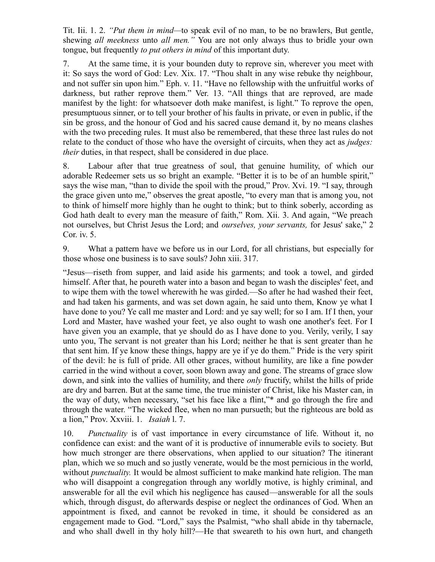Tit. Iii. 1. 2. *"Put them in mind—*to speak evil of no man, to be no brawlers, But gentle, shewing *all meekness* unto *all men."* You are not only always thus to bridle your own tongue, but frequently *to put others in mind* of this important duty.

7. At the same time, it is your bounden duty to reprove sin, wherever you meet with it: So says the word of God: Lev. Xix. 17. "Thou shalt in any wise rebuke thy neighbour, and not suffer sin upon him." Eph. v. 11. "Have no fellowship with the unfruitful works of darkness, but rather reprove them." Ver. 13. "All things that are reproved, are made manifest by the light: for whatsoever doth make manifest, is light." To reprove the open, presumptuous sinner, or to tell your brother of his faults in private, or even in public, if the sin be gross, and the honour of God and his sacred cause demand it, by no means clashes with the two preceding rules. It must also be remembered, that these three last rules do not relate to the conduct of those who have the oversight of circuits, when they act as *judges: their* duties, in that respect, shall be considered in due place.

8. Labour after that true greatness of soul, that genuine humility, of which our adorable Redeemer sets us so bright an example. "Better it is to be of an humble spirit," says the wise man, "than to divide the spoil with the proud," Prov. Xvi. 19. "I say, through the grace given unto me," observes the great apostle, "to every man that is among you, not to think of himself more highly than he ought to think; but to think soberly, according as God hath dealt to every man the measure of faith," Rom. Xii. 3. And again, "We preach not ourselves, but Christ Jesus the Lord; and *ourselves, your servants,* for Jesus' sake," 2 Cor. iv. 5.

9. What a pattern have we before us in our Lord, for all christians, but especially for those whose one business is to save souls? John xiii. 317.

"Jesus—riseth from supper, and laid aside his garments; and took a towel, and girded himself. After that, he poureth water into a bason and began to wash the disciples' feet, and to wipe them with the towel wherewith he was girded.—So after he had washed their feet, and had taken his garments, and was set down again, he said unto them, Know ye what I have done to you? Ye call me master and Lord: and ye say well; for so I am. If I then, your Lord and Master, have washed your feet, ye also ought to wash one another's feet. For I have given you an example, that ye should do as I have done to you. Verily, verily, I say unto you, The servant is not greater than his Lord; neither he that is sent greater than he that sent him. If ye know these things, happy are ye if ye do them." Pride is the very spirit of the devil: he is full of pride. All other graces, without humility, are like a fine powder carried in the wind without a cover, soon blown away and gone. The streams of grace slow down, and sink into the vallies of humility, and there *only* fructify, whilst the hills of pride are dry and barren. But at the same time, the true minister of Christ, like his Master can, in the way of duty, when necessary, "set his face like a flint,"\* and go through the fire and through the water. "The wicked flee, when no man pursueth; but the righteous are bold as a lion," Prov. Xxviii. 1. *Isaiah* l. 7.

10. *Punctuality* is of vast importance in every circumstance of life. Without it, no confidence can exist: and the want of it is productive of innumerable evils to society. But how much stronger are there observations, when applied to our situation? The itinerant plan, which we so much and so justly venerate, would be the most pernicious in the world, without *punctuality*. It would be almost sufficient to make mankind hate religion. The man who will disappoint a congregation through any worldly motive, is highly criminal, and answerable for all the evil which his negligence has caused—answerable for all the souls which, through disgust, do afterwards despise or neglect the ordinances of God. When an appointment is fixed, and cannot be revoked in time, it should be considered as an engagement made to God. "Lord," says the Psalmist, "who shall abide in thy tabernacle, and who shall dwell in thy holy hill?—He that sweareth to his own hurt, and changeth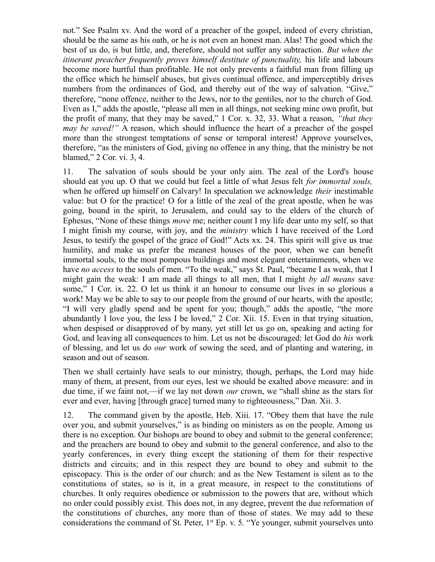not." See Psalm xv. And the word of a preacher of the gospel, indeed of every christian, should be the same as his oath, or he is not even an honest man. Alas! The good which the best of us do, is but little, and, therefore, should not suffer any subtraction. *But when the itinerant preacher frequently proves himself destitute of punctuality, his life and labours* become more hurtful than profitable. He not only prevents a faithful man from filling up the office which he himself abuses, but gives continual offence, and imperceptibly drives numbers from the ordinances of God, and thereby out of the way of salvation. "Give," therefore, "none offence, neither to the Jews, nor to the gentiles, nor to the church of God. Even as I," adds the apostle, "please all men in all things, not seeking mine own profit, but the profit of many, that they may be saved," 1 Cor. x. 32, 33. What a reason, *"that they may be saved!"* A reason, which should influence the heart of a preacher of the gospel more than the strongest temptations of sense or temporal interest! Approve yourselves, therefore, "as the ministers of God, giving no offence in any thing, that the ministry be not blamed," 2 Cor. vi. 3, 4.

11. The salvation of souls should be your only aim. The zeal of the Lord's house should eat you up. O that we could but feel a little of what Jesus felt *for immortal souls,* when he offered up himself on Calvary! In speculation we acknowledge *their* inestimable value: but O for the practice! O for a little of the zeal of the great apostle, when he was going, bound in the spirit, to Jerusalem, and could say to the elders of the church of Ephesus, "None of these things *move* me; neither count I my life dear unto my self, so that I might finish my course, with joy, and the *ministry* which I have received of the Lord Jesus, to testify the gospel of the grace of God!" Acts xx. 24. This spirit will give us true humility, and make us prefer the meanest houses of the poor, when we can benefit immortal souls, to the most pompous buildings and most elegant entertainments, when we have *no access* to the souls of men. "To the weak," says St. Paul, "became I as weak, that I might gain the weak: I am made all things to all men, that I might *by all means* save some," 1 Cor. ix. 22. O let us think it an honour to consume our lives in so glorious a work! May we be able to say to our people from the ground of our hearts, with the apostle; "I will very gladly spend and be spent for you; though," adds the apostle, "the more abundantly I love you, the less I be loved," 2 Cor. Xii. 15. Even in that trying situation, when despised or disapproved of by many, yet still let us go on, speaking and acting for God, and leaving all consequences to him. Let us not be discouraged: let God do *his* work of blessing, and let us do *our* work of sowing the seed, and of planting and watering, in season and out of season.

Then we shall certainly have seals to our ministry, though, perhaps, the Lord may hide many of them, at present, from our eyes, lest we should be exalted above measure: and in due time, if we faint not,—if we lay not down *our* crown, we "shall shine as the stars for ever and ever, having [through grace] turned many to righteousness," Dan. Xii. 3.

12. The command given by the apostle, Heb. Xiii. 17. "Obey them that have the rule over you, and submit yourselves," is as binding on ministers as on the people. Among us there is no exception. Our bishops are bound to obey and submit to the general conference; and the preachers are bound to obey and submit to the general conference, and also to the yearly conferences, in every thing except the stationing of them for their respective districts and circuits; and in this respect they are bound to obey and submit to the episcopacy. This is the order of our church: and as the New Testament is silent as to the constitutions of states, so is it, in a great measure, in respect to the constitutions of churches. It only requires obedience or submission to the powers that are, without which no order could possibly exist. This does not, in any degree, prevent the due reformation of the constitutions of churches, any more than of those of states. We may add to these considerations the command of St. Peter,  $1<sup>st</sup>$  Ep. v. 5. "Ye younger, submit yourselves unto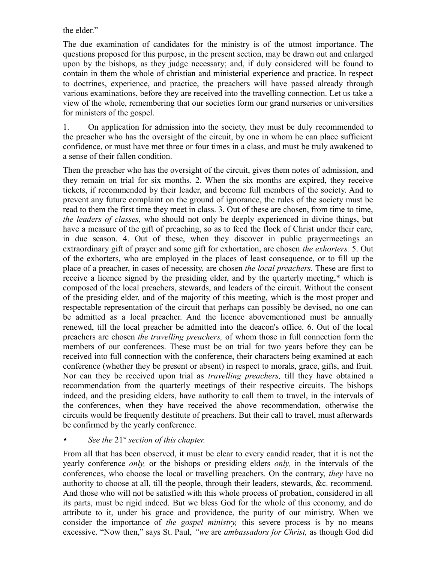# the elder."

The due examination of candidates for the ministry is of the utmost importance. The questions proposed for this purpose, in the present section, may be drawn out and enlarged upon by the bishops, as they judge necessary; and, if duly considered will be found to contain in them the whole of christian and ministerial experience and practice. In respect to doctrines, experience, and practice, the preachers will have passed already through various examinations, before they are received into the travelling connection. Let us take a view of the whole, remembering that our societies form our grand nurseries or universities for ministers of the gospel.

1. On application for admission into the society, they must be duly recommended to the preacher who has the oversight of the circuit, by one in whom he can place sufficient confidence, or must have met three or four times in a class, and must be truly awakened to a sense of their fallen condition.

Then the preacher who has the oversight of the circuit, gives them notes of admission, and they remain on trial for six months. 2. When the six months are expired, they receive tickets, if recommended by their leader, and become full members of the society. And to prevent any future complaint on the ground of ignorance, the rules of the society must be read to them the first time they meet in class. 3. Out of these are chosen, from time to time, *the leaders of classes,* who should not only be deeply experienced in divine things, but have a measure of the gift of preaching, so as to feed the flock of Christ under their care, in due season. 4. Out of these, when they discover in public prayermeetings an extraordinary gift of prayer and some gift for exhortation, are chosen *the exhorters.* 5. Out of the exhorters, who are employed in the places of least consequence, or to fill up the place of a preacher, in cases of necessity, are chosen *the local preachers.* These are first to receive a licence signed by the presiding elder, and by the quarterly meeting,\* which is composed of the local preachers, stewards, and leaders of the circuit. Without the consent of the presiding elder, and of the majority of this meeting, which is the most proper and respectable representation of the circuit that perhaps can possibly be devised, no one can be admitted as a local preacher. And the licence abovementioned must be annually renewed, till the local preacher be admitted into the deacon's office. 6. Out of the local preachers are chosen *the travelling preachers,* of whom those in full connection form the members of our conferences. These must be on trial for two years before they can be received into full connection with the conference, their characters being examined at each conference (whether they be present or absent) in respect to morals, grace, gifts, and fruit. Nor can they be received upon trial as *travelling preachers,* till they have obtained a recommendation from the quarterly meetings of their respective circuits. The bishops indeed, and the presiding elders, have authority to call them to travel, in the intervals of the conferences, when they have received the above recommendation, otherwise the circuits would be frequently destitute of preachers. But their call to travel, must afterwards be confirmed by the yearly conference.

#### •*See the* 21*st section of this chapter.*

From all that has been observed, it must be clear to every candid reader, that it is not the yearly conference *only,* or the bishops or presiding elders *only,* in the intervals of the conferences, who choose the local or travelling preachers. On the contrary, *they* have no authority to choose at all, till the people, through their leaders, stewards, &c. recommend. And those who will not be satisfied with this whole process of probation, considered in all its parts, must be rigid indeed. But we bless God for the whole of this economy, and do attribute to it, under his grace and providence, the purity of our ministry. When we consider the importance of *the gospel ministry,* this severe process is by no means excessive. "Now then," says St. Paul, *"we* are *ambassadors for Christ,* as though God did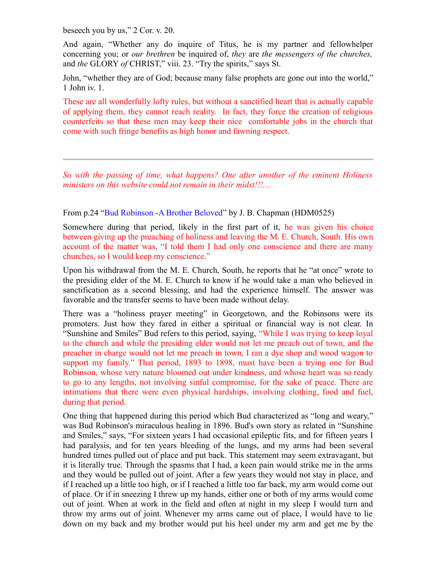beseech you by us," 2 Cor. v. 20.

And again, "Whether any do inquire of Titus, he is my partner and fellowhelper concerning you; or *our brethren* be inquired of, *they* are *the messengers of the churches,* and *the* GLORY *of* CHRIST," viii. 23. "Try the spirits," says St.

John, "whether they are of God; because many false prophets are gone out into the world," 1 John iv. 1.

These are all wonderfully lofty rules, but without a sanctified heart that is actually capable of applying them, they cannot reach reality. In fact, they force the creation of religious counterfeits so that these men may keep their nice comfortable jobs in the church that come with such fringe benefits as high honor and fawning respect.

*So with the passing of time, what happens? One after another of the eminent Holiness ministers on this website could not remain in their midst!!!....*

From p.24 "Bud Robinson -A Brother Beloved" by J. B. Chapman (HDM0525)

Somewhere during that period, likely in the first part of it, he was given his choice between giving up the preaching of holiness and leaving the M. E. Church, South. His own account of the matter was, "I told them I had only one conscience and there are many churches, so I would keep my conscience."

Upon his withdrawal from the M. E. Church, South, he reports that he "at once" wrote to the presiding elder of the M. E. Church to know if he would take a man who believed in sanctification as a second blessing, and had the experience himself. The answer was favorable and the transfer seems to have been made without delay.

There was a "holiness prayer meeting" in Georgetown, and the Robinsons were its promoters. Just how they fared in either a spiritual or financial way is not clear. In "Sunshine and Smiles" Bud refers to this period, saying, "While I was trying to keep loyal to the church and while the presiding elder would not let me preach out of town, and the preacher in charge would not let me preach in town, I ran a dye shop and wood wagon to support my family." That period, 1893 to 1898, must have been a trying one for Bud Robinson, whose very nature bloomed out under kindness, and whose heart was so ready to go to any lengths, not involving sinful compromise, for the sake of peace. There are intimations that there were even physical hardships, involving clothing, food and fuel, during that period.

One thing that happened during this period which Bud characterized as "long and weary," was Bud Robinson's miraculous healing in 1896. Bud's own story as related in "Sunshine and Smiles," says, "For sixteen years I had occasional epileptic fits, and for fifteen years I had paralysis, and for ten years bleeding of the lungs, and my arms had been several hundred times pulled out of place and put back. This statement may seem extravagant, but it is literally true. Through the spasms that I had, a keen pain would strike me in the arms and they would be pulled out of joint. After a few years they would not stay in place, and if I reached up a little too high, or if I reached a little too far back, my arm would come out of place. Or if in sneezing I threw up my hands, either one or both of my arms would come out of joint. When at work in the field and often at night in my sleep I would turn and throw my arms out of joint. Whenever my arms came out of place, I would have to lie down on my back and my brother would put his heel under my arm and get me by the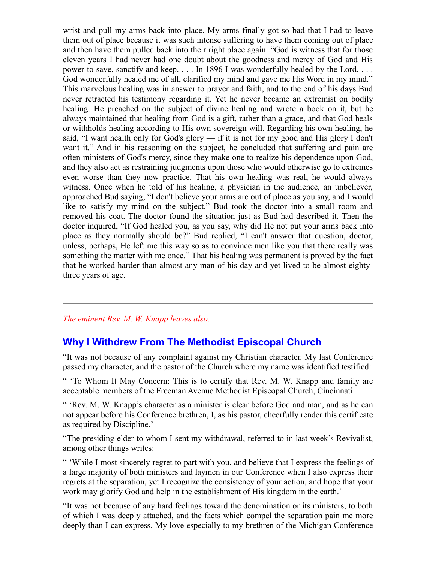wrist and pull my arms back into place. My arms finally got so bad that I had to leave them out of place because it was such intense suffering to have them coming out of place and then have them pulled back into their right place again. "God is witness that for those eleven years I had never had one doubt about the goodness and mercy of God and His power to save, sanctify and keep. . . . In 1896 I was wonderfully healed by the Lord. . . . God wonderfully healed me of all, clarified my mind and gave me His Word in my mind." This marvelous healing was in answer to prayer and faith, and to the end of his days Bud never retracted his testimony regarding it. Yet he never became an extremist on bodily healing. He preached on the subject of divine healing and wrote a book on it, but he always maintained that healing from God is a gift, rather than a grace, and that God heals or withholds healing according to His own sovereign will. Regarding his own healing, he said, "I want health only for God's glory — if it is not for my good and His glory I don't want it." And in his reasoning on the subject, he concluded that suffering and pain are often ministers of God's mercy, since they make one to realize his dependence upon God, and they also act as restraining judgments upon those who would otherwise go to extremes even worse than they now practice. That his own healing was real, he would always witness. Once when he told of his healing, a physician in the audience, an unbeliever, approached Bud saying, "I don't believe your arms are out of place as you say, and I would like to satisfy my mind on the subject." Bud took the doctor into a small room and removed his coat. The doctor found the situation just as Bud had described it. Then the doctor inquired, "If God healed you, as you say, why did He not put your arms back into place as they normally should be?" Bud replied, "I can't answer that question, doctor, unless, perhaps, He left me this way so as to convince men like you that there really was something the matter with me once." That his healing was permanent is proved by the fact that he worked harder than almost any man of his day and yet lived to be almost eightythree years of age.

### *The eminent Rev. M. W. Knapp leaves also.*

# **Why I Withdrew From The Methodist Episcopal Church**

"It was not because of any complaint against my Christian character. My last Conference passed my character, and the pastor of the Church where my name was identified testified:

" 'To Whom It May Concern: This is to certify that Rev. M. W. Knapp and family are acceptable members of the Freeman Avenue Methodist Episcopal Church, Cincinnati.

" 'Rev. M. W. Knapp's character as a minister is clear before God and man, and as he can not appear before his Conference brethren, I, as his pastor, cheerfully render this certificate as required by Discipline.'

"The presiding elder to whom I sent my withdrawal, referred to in last week's Revivalist, among other things writes:

" 'While I most sincerely regret to part with you, and believe that I express the feelings of a large majority of both ministers and laymen in our Conference when I also express their regrets at the separation, yet I recognize the consistency of your action, and hope that your work may glorify God and help in the establishment of His kingdom in the earth.'

"It was not because of any hard feelings toward the denomination or its ministers, to both of which I was deeply attached, and the facts which compel the separation pain me more deeply than I can express. My love especially to my brethren of the Michigan Conference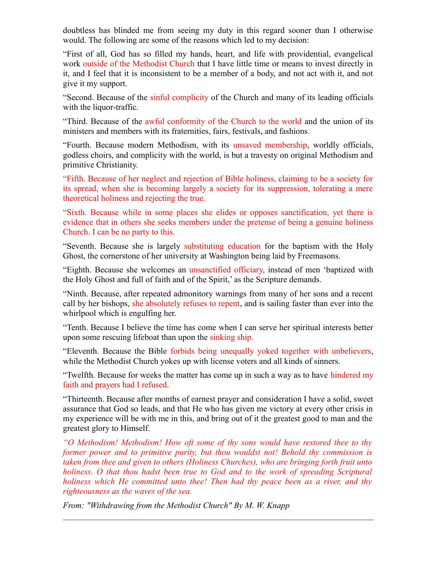doubtless has blinded me from seeing my duty in this regard sooner than I otherwise would. The following are some of the reasons which led to my decision:

"First of all, God has so filled my hands, heart, and life with providential, evangelical work outside of the Methodist Church that I have little time or means to invest directly in it, and I feel that it is inconsistent to be a member of a body, and not act with it, and not give it my support.

"Second. Because of the sinful complicity of the Church and many of its leading officials with the liquor-traffic.

"Third. Because of the awful conformity of the Church to the world and the union of its ministers and members with its fraternities, fairs, festivals, and fashions.

"Fourth. Because modern Methodism, with its unsaved membership, worldly officials, godless choirs, and complicity with the world, is but a travesty on original Methodism and primitive Christianity.

"Fifth. Because of her neglect and rejection of Bible holiness, claiming to be a society for its spread, when she is becoming largely a society for its suppression, tolerating a mere theoretical holiness and rejecting the true.

"Sixth. Because while in some places she elides or opposes sanctification, yet there is evidence that in others she seeks members under the pretense of being a genuine holiness Church. I can be no party to this.

"Seventh. Because she is largely substituting education for the baptism with the Holy Ghost, the cornerstone of her university at Washington being laid by Freemasons.

"Eighth. Because she welcomes an unsanctified officiary, instead of men 'baptized with the Holy Ghost and full of faith and of the Spirit,' as the Scripture demands.

"Ninth. Because, after repeated admonitory warnings from many of her sons and a recent call by her bishops, she absolutely refuses to repent, and is sailing faster than ever into the whirlpool which is engulfing her.

"Tenth. Because I believe the time has come when I can serve her spiritual interests better upon some rescuing lifeboat than upon the sinking ship.

"Eleventh. Because the Bible forbids being unequally yoked together with unbelievers, while the Methodist Church yokes up with license voters and all kinds of sinners.

"Twelfth. Because for weeks the matter has come up in such a way as to have hindered my faith and prayers had I refused.

"Thirteenth. Because after months of earnest prayer and consideration I have a solid, sweet assurance that God so leads, and that He who has given me victory at every other crisis in my experience will be with me in this, and bring out of it the greatest good to man and the greatest glory to Himself.

*"O Methodism! Methodism! How oft some of thy sons would have restored thee to thy former power and to primitive purity, but thou wouldst not! Behold thy commission is taken from thee and given to others (Holiness Churches), who are bringing forth fruit unto holiness. O that thou hadst been true to God and to the work of spreading Scriptural holiness which He committed unto thee! Then had thy peace been as a river, and thy righteousness as the waves of the sea.*

*From: "Withdrawing from the Methodist Church" By M. W. Knapp*